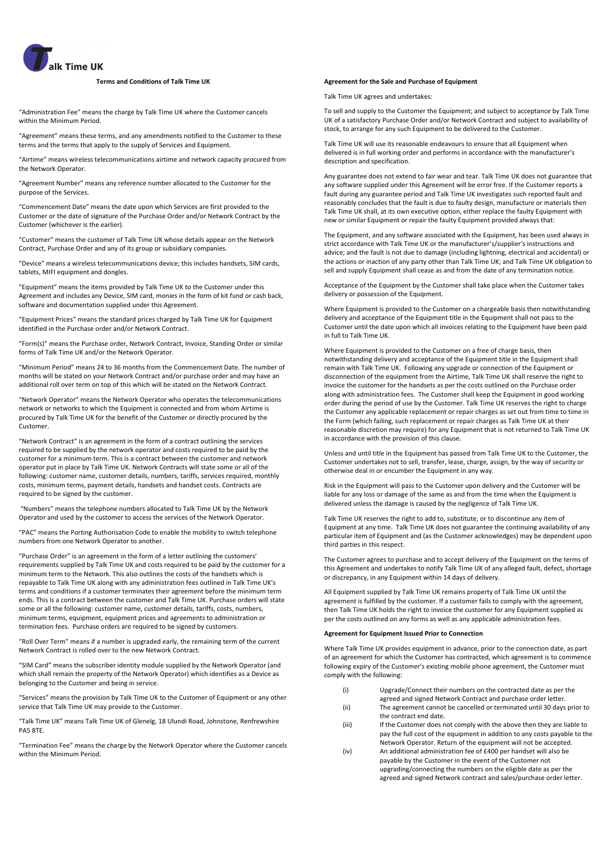

#### **Terms and Conditions of Talk Time UK**

"Administration Fee" means the charge by Talk Time UK where the Customer cancels within the Minimum Period.

"Agreement" means these terms, and any amendments notified to the Customer to these terms and the terms that apply to the supply of Services and Equipment.

"Airtime" means wireless telecommunications airtime and network capacity procured from the Network Operator.

"Agreement Number" means any reference number allocated to the Customer for the purpose of the Services.

"Commencement Date" means the date upon which Services are first provided to the Customer or the date of signature of the Purchase Order and/or Network Contract by the Customer (whichever is the earlier).

"Customer" means the customer of Talk Time UK whose details appear on the Network Contract, Purchase Order and any of its group or subsidiary companies.

"Device" means a wireless telecommunications device; this includes handsets, SIM cards, tablets, MIFI equipment and dongles.

"Equipment" means the items provided by Talk Time UK to the Customer under this Agreement and includes any Device, SIM card, monies in the form of kit fund or cash back, software and documentation supplied under this Agreement.

"Equipment Prices" means the standard prices charged by Talk Time UK for Equipment identified in the Purchase order and/or Network Contract.

"Form(s)" means the Purchase order, Network Contract, Invoice, Standing Order or similar forms of Talk Time UK and/or the Network Operator.

"Minimum Period" means 24 to 36 months from the Commencement Date. The number of months will be stated on your Network Contract and/or purchase order and may have an additional roll over term on top of this which will be stated on the Network Contract.

"Network Operator" means the Network Operator who operates the telecommunications network or networks to which the Equipment is connected and from whom Airtime is procured by Talk Time UK for the benefit of the Customer or directly procured by the Customer.

"Network Contract" is an agreement in the form of a contract outlining the services required to be supplied by the network operator and costs required to be paid by the customer for a minimum term. This is a contract between the customer and network operator put in place by Talk Time UK. Network Contracts will state some or all of the following: customer name, customer details, numbers, tariffs, services required, monthly costs, minimum terms, payment details, handsets and handset costs. Contracts are required to be signed by the customer.

"Numbers" means the telephone numbers allocated to Talk Time UK by the Network Operator and used by the customer to access the services of the Network Operator.

"PAC" means the Porting Authorisation Code to enable the mobility to switch telephone numbers from one Network Operator to another.

"Purchase Order" is an agreement in the form of a letter outlining the customers' requirements supplied by Talk Time UK and costs required to be paid by the customer for a minimum term to the Network. This also outlines the costs of the handsets which is repayable to Talk Time UK along with any administration fees outlined in Talk Time UK's terms and conditions if a customer terminates their agreement before the minimum term ends. This is a contract between the customer and Talk Time UK. Purchase orders will state some or all the following: customer name, customer details, tariffs, costs, numbers, minimum terms, equipment, equipment prices and agreements to administration or termination fees. Purchase orders are required to be signed by customers.

"Roll Over Term" means if a number is upgraded early, the remaining term of the current Network Contract is rolled over to the new Network Contract.

"SIM Card" means the subscriber identity module supplied by the Network Operator (and which shall remain the property of the Network Operator) which identifies as a Device as belonging to the Customer and being in service.

"Services" means the provision by Talk Time UK to the Customer of Equipment or any other service that Talk Time UK may provide to the Customer.

"Talk Time UK" means Talk Time UK of Glenelg, 18 Ulundi Road, Johnstone, Renfrewshire PA5 8TE.

"Termination Fee" means the charge by the Network Operator where the Customer cancels within the Minimum Period.

# **Agreement for the Sale and Purchase of Equipment**

Talk Time UK agrees and undertakes:

To sell and supply to the Customer the Equipment; and subject to acceptance by Talk Time UK of a satisfactory Purchase Order and/or Network Contract and subject to availability of stock, to arrange for any such Equipment to be delivered to the Customer.

Talk Time UK will use its reasonable endeavours to ensure that all Equipment when delivered is in full working order and performs in accordance with the manufacturer's description and specification.

Any guarantee does not extend to fair wear and tear. Talk Time UK does not guarantee that any software supplied under this Agreement will be error free. If the Customer reports a fault during any guarantee period and Talk Time UK investigates such reported fault and reasonably concludes that the fault is due to faulty design, manufacture or materials then Talk Time UK shall, at its own executive option, either replace the faulty Equipment with new or similar Equipment or repair the faulty Equipment provided always that:

The Equipment, and any software associated with the Equipment, has been used always in strict accordance with Talk Time UK or the manufacturer's/supplier's instructions and advice; and the fault is not due to damage (including lightning, electrical and accidental) or the actions or inaction of any party other than Talk Time UK; and Talk Time UK obligation to sell and supply Equipment shall cease as and from the date of any termination notice.

Acceptance of the Equipment by the Customer shall take place when the Customer takes delivery or possession of the Equipment.

Where Equipment is provided to the Customer on a chargeable basis then notwithstanding delivery and acceptance of the Equipment title in the Equipment shall not pass to the Customer until the date upon which all invoices relating to the Equipment have been paid in full to Talk Time UK.

Where Equipment is provided to the Customer on a free of charge basis, then notwithstanding delivery and acceptance of the Equipment title in the Equipment shall remain with Talk Time UK. Following any upgrade or connection of the Equipment or disconnection of the equipment from the Airtime, Talk Time UK shall reserve the right to invoice the customer for the handsets as per the costs outlined on the Purchase order along with administration fees. The Customer shall keep the Equipment in good working order during the period of use by the Customer. Talk Time UK reserves the right to charge the Customer any applicable replacement or repair charges as set out from time to time in the Form (which failing, such replacement or repair charges as Talk Time UK at their reasonable discretion may require) for any Equipment that is not returned to Talk Time UK in accordance with the provision of this clause.

Unless and until title in the Equipment has passed from Talk Time UK to the Customer, the Customer undertakes not to sell, transfer, lease, charge, assign, by the way of security or otherwise deal in or encumber the Equipment in any way.

Risk in the Equipment will pass to the Customer upon delivery and the Customer will be liable for any loss or damage of the same as and from the time when the Equipment is delivered unless the damage is caused by the negligence of Talk Time UK.

Talk Time UK reserves the right to add to, substitute, or to discontinue any item of Equipment at any time. Talk Time UK does not guarantee the continuing availability of any particular item of Equipment and (as the Customer acknowledges) may be dependent upon third parties in this respect.

The Customer agrees to purchase and to accept delivery of the Equipment on the terms of this Agreement and undertakes to notify Talk Time UK of any alleged fault, defect, shortage or discrepancy, in any Equipment within 14 days of delivery.

All Equipment supplied by Talk Time UK remains property of Talk Time UK until the agreement is fulfilled by the customer. If a customer fails to comply with the agreement, then Talk Time UK holds the right to invoice the customer for any Equipment supplied as per the costs outlined on any forms as well as any applicable administration fees.

## **Agreement for Equipment Issued Prior to Connection**

Where Talk Time UK provides equipment in advance, prior to the connection date, as part of an agreement for which the Customer has contracted, which agreement is to commence following expiry of the Customer's existing mobile phone agreement, the Customer must comply with the following:

- (i) Upgrade/Connect their numbers on the contracted date as per the agreed and signed Network Contract and purchase order letter.
- (ii) The agreement cannot be cancelled or terminated until 30 days prior to the contract end date.
- (iii) If the Customer does not comply with the above then they are liable to pay the full cost of the equipment in addition to any costs payable to the Network Operator. Return of the equipment will not be accepted.
- (iv) An additional administration fee of £400 per handset will also be payable by the Customer in the event of the Customer not upgrading/connecting the numbers on the eligible date as per the agreed and signed Network contract and sales/purchase order letter.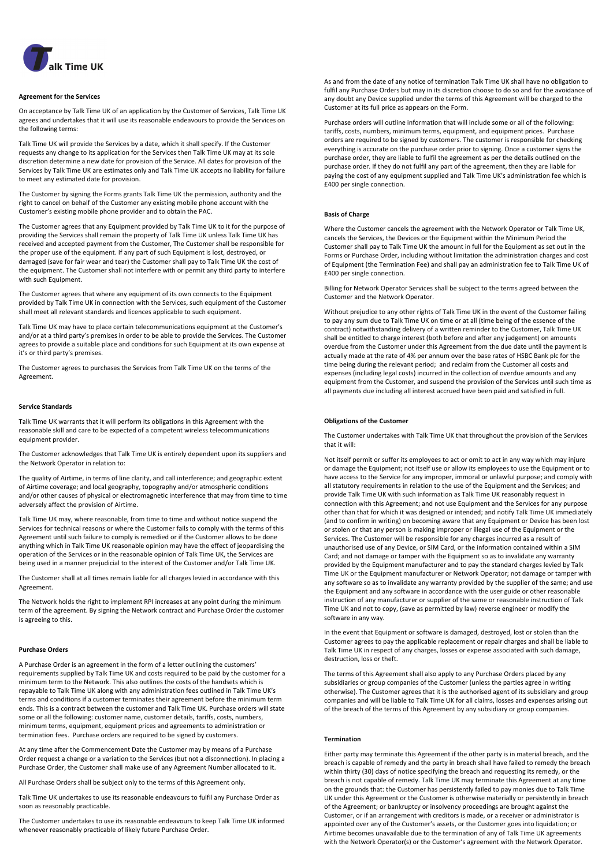

## **Agreement for the Services**

On acceptance by Talk Time UK of an application by the Customer of Services, Talk Time UK agrees and undertakes that it will use its reasonable endeavours to provide the Services on the following terms:

Talk Time UK will provide the Services by a date, which it shall specify. If the Customer requests any change to its application for the Services then Talk Time UK may at its sole discretion determine a new date for provision of the Service. All dates for provision of the Services by Talk Time UK are estimates only and Talk Time UK accepts no liability for failure to meet any estimated date for provision.

The Customer by signing the Forms grants Talk Time UK the permission, authority and the right to cancel on behalf of the Customer any existing mobile phone account with the Customer's existing mobile phone provider and to obtain the PAC.

The Customer agrees that any Equipment provided by Talk Time UK to it for the purpose of providing the Services shall remain the property of Talk Time UK unless Talk Time UK has received and accepted payment from the Customer, The Customer shall be responsible for the proper use of the equipment. If any part of such Equipment is lost, destroyed, or damaged (save for fair wear and tear) the Customer shall pay to Talk Time UK the cost of the equipment. The Customer shall not interfere with or permit any third party to interfere with such Equipment.

The Customer agrees that where any equipment of its own connects to the Equipment provided by Talk Time UK in connection with the Services, such equipment of the Customer shall meet all relevant standards and licences applicable to such equipment.

Talk Time UK may have to place certain telecommunications equipment at the Customer's and/or at a third party's premises in order to be able to provide the Services. The Customer agrees to provide a suitable place and conditions for such Equipment at its own expense at it's or third party's premises.

The Customer agrees to purchases the Services from Talk Time UK on the terms of the Agreement.

## **Service Standards**

Talk Time UK warrants that it will perform its obligations in this Agreement with the reasonable skill and care to be expected of a competent wireless telecommunications equipment provider.

The Customer acknowledges that Talk Time UK is entirely dependent upon its suppliers and the Network Operator in relation to:

The quality of Airtime, in terms of line clarity, and call interference; and geographic extent of Airtime coverage; and local geography, topography and/or atmospheric conditions and/or other causes of physical or electromagnetic interference that may from time to time adversely affect the provision of Airtime.

Talk Time UK may, where reasonable, from time to time and without notice suspend the Services for technical reasons or where the Customer fails to comply with the terms of this Agreement until such failure to comply is remedied or if the Customer allows to be done anything which in Talk Time UK reasonable opinion may have the effect of jeopardising the operation of the Services or in the reasonable opinion of Talk Time UK, the Services are being used in a manner prejudicial to the interest of the Customer and/or Talk Time UK.

The Customer shall at all times remain liable for all charges levied in accordance with this Agreement.

The Network holds the right to implement RPI increases at any point during the minimum term of the agreement. By signing the Network contract and Purchase Order the customer is agreeing to this.

# **Purchase Orders**

A Purchase Order is an agreement in the form of a letter outlining the customers' requirements supplied by Talk Time UK and costs required to be paid by the customer for a minimum term to the Network. This also outlines the costs of the handsets which is repayable to Talk Time UK along with any administration fees outlined in Talk Time UK's terms and conditions if a customer terminates their agreement before the minimum term ends. This is a contract between the customer and Talk Time UK. Purchase orders will state some or all the following: customer name, customer details, tariffs, costs, numbers, minimum terms, equipment, equipment prices and agreements to administration or termination fees. Purchase orders are required to be signed by customers.

At any time after the Commencement Date the Customer may by means of a Purchase Order request a change or a variation to the Services (but not a disconnection). In placing a Purchase Order, the Customer shall make use of any Agreement Number allocated to it.

All Purchase Orders shall be subject only to the terms of this Agreement only.

Talk Time UK undertakes to use its reasonable endeavours to fulfil any Purchase Order as soon as reasonably practicable.

The Customer undertakes to use its reasonable endeavours to keep Talk Time UK informed whenever reasonably practicable of likely future Purchase Order.

As and from the date of any notice of termination Talk Time UK shall have no obligation to fulfil any Purchase Orders but may in its discretion choose to do so and for the avoidance of any doubt any Device supplied under the terms of this Agreement will be charged to the Customer at its full price as appears on the Form.

Purchase orders will outline information that will include some or all of the following: tariffs, costs, numbers, minimum terms, equipment, and equipment prices. Purchase orders are required to be signed by customers. The customer is responsible for checking everything is accurate on the purchase order prior to signing. Once a customer signs the purchase order, they are liable to fulfil the agreement as per the details outlined on the purchase order. If they do not fulfil any part of the agreement, then they are liable for paying the cost of any equipment supplied and Talk Time UK's administration fee which is £400 per single connection.

## **Basis of Charge**

Where the Customer cancels the agreement with the Network Operator or Talk Time UK, cancels the Services, the Devices or the Equipment within the Minimum Period the Customer shall pay to Talk Time UK the amount in full for the Equipment as set out in the Forms or Purchase Order, including without limitation the administration charges and cost of Equipment (the Termination Fee) and shall pay an administration fee to Talk Time UK of £400 per single connection.

Billing for Network Operator Services shall be subject to the terms agreed between the Customer and the Network Operator.

Without prejudice to any other rights of Talk Time UK in the event of the Customer failing to pay any sum due to Talk Time UK on time or at all (time being of the essence of the contract) notwithstanding delivery of a written reminder to the Customer, Talk Time UK shall be entitled to charge interest (both before and after any judgement) on amounts overdue from the Customer under this Agreement from the due date until the payment is actually made at the rate of 4% per annum over the base rates of HSBC Bank plc for the time being during the relevant period; and reclaim from the Customer all costs and expenses (including legal costs) incurred in the collection of overdue amounts and any equipment from the Customer, and suspend the provision of the Services until such time as all payments due including all interest accrued have been paid and satisfied in full.

#### **Obligations of the Customer**

The Customer undertakes with Talk Time UK that throughout the provision of the Services that it will:

Not itself permit or suffer its employees to act or omit to act in any way which may injure or damage the Equipment; not itself use or allow its employees to use the Equipment or to have access to the Service for any improper, immoral or unlawful purpose; and comply with all statutory requirements in relation to the use of the Equipment and the Services; and provide Talk Time UK with such information as Talk Time UK reasonably request in connection with this Agreement; and not use Equipment and the Services for any purpose other than that for which it was designed or intended; and notify Talk Time UK immediately (and to confirm in writing) on becoming aware that any Equipment or Device has been lost or stolen or that any person is making improper or illegal use of the Equipment or the Services. The Customer will be responsible for any charges incurred as a result of unauthorised use of any Device, or SIM Card, or the information contained within a SIM Card; and not damage or tamper with the Equipment so as to invalidate any warranty provided by the Equipment manufacturer and to pay the standard charges levied by Talk Time UK or the Equipment manufacturer or Network Operator; not damage or tamper with any software so as to invalidate any warranty provided by the supplier of the same; and use the Equipment and any software in accordance with the user guide or other reasonable instruction of any manufacturer or supplier of the same or reasonable instruction of Talk Time UK and not to copy, (save as permitted by law) reverse engineer or modify the software in any way.

In the event that Equipment or software is damaged, destroyed, lost or stolen than the Customer agrees to pay the applicable replacement or repair charges and shall be liable to Talk Time UK in respect of any charges, losses or expense associated with such damage, destruction, loss or theft.

The terms of this Agreement shall also apply to any Purchase Orders placed by any subsidiaries or group companies of the Customer (unless the parties agree in writing otherwise). The Customer agrees that it is the authorised agent of its subsidiary and group companies and will be liable to Talk Time UK for all claims, losses and expenses arising out of the breach of the terms of this Agreement by any subsidiary or group companies.

#### **Termination**

Either party may terminate this Agreement if the other party is in material breach, and the breach is capable of remedy and the party in breach shall have failed to remedy the breach within thirty (30) days of notice specifying the breach and requesting its remedy, or the breach is not capable of remedy. Talk Time UK may terminate this Agreement at any time on the grounds that: the Customer has persistently failed to pay monies due to Talk Time UK under this Agreement or the Customer is otherwise materially or persistently in breach of the Agreement; or bankruptcy or insolvency proceedings are brought against the Customer, or if an arrangement with creditors is made, or a receiver or administrator is appointed over any of the Customer's assets, or the Customer goes into liquidation; or Airtime becomes unavailable due to the termination of any of Talk Time UK agreements with the Network Operator(s) or the Customer's agreement with the Network Operator.